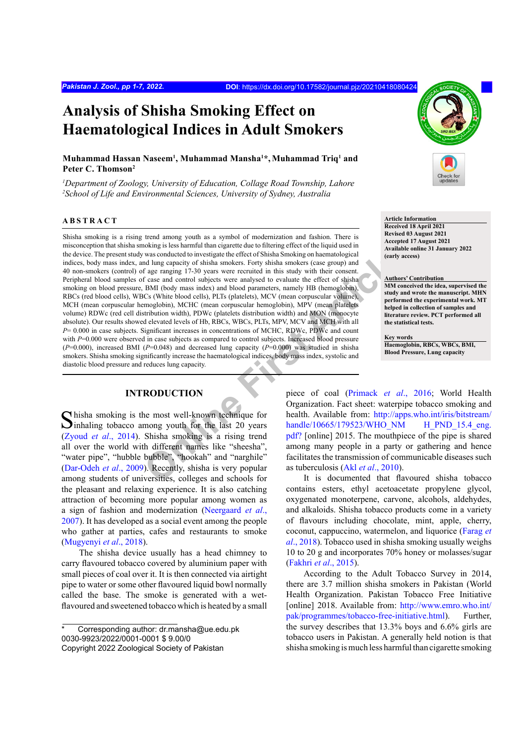# **Analysis of Shisha Smoking Effect on Haematological Indices in Adult Smokers**

# **Muhammad Hassan Naseem1 , Muhammad Mansha1 \*, Muhammad Triq1 and Peter C. Thomson2**

*1 Department of Zoology, University of Education, Collage Road Township, Lahore 2 School of Life and Environmental Sciences, University of Sydney, Australia*

# **ABSTRACT**

was conducted to investigate the effect of Shisha Smoking on haematological<br>
dulug capacity of shisha smokers. Forty shisha smokers (caes group) and<br>
f age ranging 17-30 years were recurited in this study with their consen Shisha smoking is a rising trend among youth as a symbol of modernization and fashion. There is misconception that shisha smoking is less harmful than cigarette due to filtering effect of the liquid used in the device. The present study was conducted to investigate the effect of Shisha Smoking on haematological indices, body mass index, and lung capacity of shisha smokers. Forty shisha smokers (case group) and 40 non-smokers (control) of age ranging 17-30 years were recruited in this study with their consent. Peripheral blood samples of case and control subjects were analysed to evaluate the effect of shisha smoking on blood pressure, BMI (body mass index) and blood parameters, namely HB (hemoglobin), RBCs (red blood cells), WBCs (White blood cells), PLTs (platelets), MCV (mean corpuscular volume), MCH (mean corpuscular hemoglobin), MCHC (mean corpuscular hemoglobin), MPV (mean platelets volume) RDWc (red cell distribution width), PDWc (platelets distribution width) and MON (monocyte absolute). Our results showed elevated levels of Hb, RBCs, WBCs, PLTs, MPV, MCV and MCH with all *P*= 0.000 in case subjects. Significant increases in concentrations of MCHC, RDWc, PDWc and count with *P*=0.000 were observed in case subjects as compared to control subjects. Increased blood pressure  $(P=0.000)$ , increased BMI ( $P=0.048$ ) and decreased lung capacity ( $P=0.000$ ) was studied in shisha smokers. Shisha smoking significantly increase the haematological indices, body mass index, systolic and diastolic blood pressure and reduces lung capacity.

## **INTRODUCTION**

 $\bigcap$  hisha smoking is the most well-known technique for  $\Box$  inhaling tobacco among youth for the last 20 years (Zyoud *et al*[., 2014](#page-6-0)). Shisha smoking is a rising trend all over the world with different names like "sheesha", "water pipe", "hubble bubble", "hookah" and "narghile" [\(Dar-Odeh](#page-4-0) *et al*., 2009). Recently, shisha is very popular among students of universities, colleges and schools for the pleasant and relaxing experience. It is also catching attraction of becoming more popular among women as a sign of fashion and modernization ([Neergaard](#page-5-0) *et al*., [2007\)](#page-5-0). It has developed as a social event among the people who gather at parties, cafes and restaurants to smoke (Mugyenyi *et al*., 2018).

The shisha device usually has a head chimney to carry flavoured tobacco covered by aluminium paper with small pieces of coal over it. It is then connected via airtight pipe to water or some other flavoured liquid bowl normally called the base. The smoke is generated with a wetflavoured and sweetened tobacco which is heated by a small



**Article Information Received 18 April 2021 Revised 03 August 2021 Accepted 17 August 2021 Available online 31 January 2022 (early access)**

#### **Authors' Contribution**

**MM conceived the idea, supervised the study and wrote the manuscript. MHN performed the experimental work. MT helped in collection of samples and literature review. PCT performed all the statistical tests.**

**Key words Haemoglobin, RBCs, WBCs, BMI, Blood Pressure, Lung capacity**

piece of coal (Primack *et al*., 2016; World Health Organization. Fact sheet: waterpipe tobacco smoking and health. Available from: [http://apps.who.int/iris/bitstream/](http://apps.who.int/iris/bitstream/handle/10665/179523/WHO_NM H_PND_15.4_eng.pdf?) [handle/10665/179523/WHO\\_NM H\\_PND\\_15.4\\_eng.](http://apps.who.int/iris/bitstream/handle/10665/179523/WHO_NM H_PND_15.4_eng.pdf?) pdf? [online] 2015. The mouthpiece of the pipe is shared among many people in a party or gathering and hence facilitates the transmission of communicable diseases such as tuberculosis (Akl *et al*., 2010).

It is documented that flavoured shisha tobacco contains esters, ethyl acetoacetate propylene glycol, oxygenated monoterpene, carvone, alcohols, aldehydes, and alkaloids. Shisha tobacco products come in a variety of flavours including chocolate, mint, apple, cherry, coconut, cappuccino, watermelon, and liquorice ([Farag](#page-5-1) *et al*[., 2018\)](#page-5-1). Tobacco used in shisha smoking usually weighs 10 to 20 g and incorporates 70% honey or molasses/sugar [\(Fakhri](#page-5-2) *et al*., 2015).

According to the Adult Tobacco Survey in 2014, there are 3.7 million shisha smokers in Pakistan (World Health Organization. Pakistan Tobacco Free Initiative [online] 2018. Available from: [http://www.emro.who.int/](http://www.emro.who.int/pak/programmes/tobacco-free-initiative.html) [pak/programmes/tobacco-free-initiative.html\)](http://www.emro.who.int/pak/programmes/tobacco-free-initiative.html). Further, the survey describes that 13.3% boys and 6.6% girls are tobacco users in Pakistan. A generally held notion is that shisha smoking is much less harmful than cigarette smoking

Corresponding author: dr.mansha@ue.edu.pk 0030-9923/2022/0001-0001 \$ 9.00/0 Copyright 2022 Zoological Society of Pakistan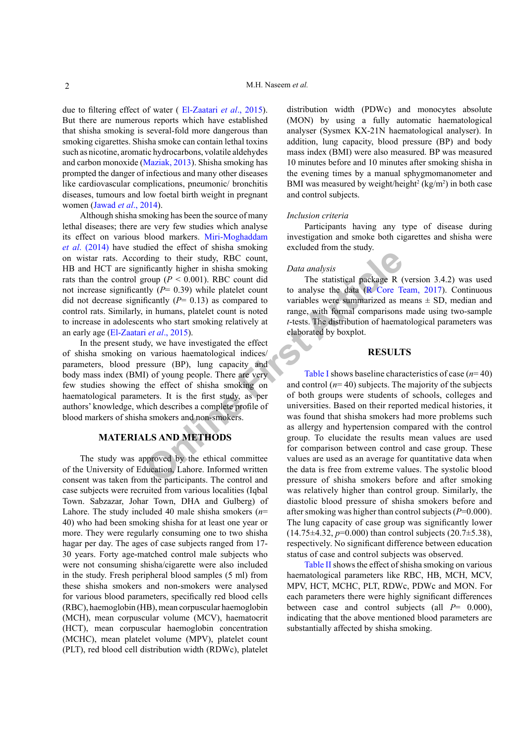due to filtering effect of water ( [El-Zaatari](#page-5-3) *et al*., 2015). But there are numerous reports which have established that shisha smoking is several-fold more dangerous than smoking cigarettes. Shisha smoke can contain lethal toxins such as nicotine, aromatic hydrocarbons, volatile aldehydes and carbon monoxide ([Maziak, 2013\)](#page-5-4). Shisha smoking has prompted the danger of infectious and many other diseases like cardiovascular complications, pneumonic/ bronchitis diseases, tumours and low foetal birth weight in pregnant women ([Jawad](#page-5-5) *et al*., 2014).

Although shisha smoking has been the source of many lethal diseases; there are very few studies which analyse its effect on various blood markers. [Miri-Moghaddam](#page-5-6) *et al*[. \(2014\)](#page-5-6) have studied the effect of shisha smoking on wistar rats. According to their study, RBC count, HB and HCT are significantly higher in shisha smoking rats than the control group ( $P < 0.001$ ). RBC count did not increase significantly (*P*= 0.39) while platelet count did not decrease significantly  $(P= 0.13)$  as compared to control rats. Similarly, in humans, platelet count is noted to increase in adolescents who start smoking relatively at an early age (El-Zaatari *et al*., 2015).

In the present study, we have investigated the effect of shisha smoking on various haematological indices/ parameters, blood pressure (BP), lung capacity and body mass index (BMI) of young people. There are very few studies showing the effect of shisha smoking on haematological parameters. It is the first study, as per authors' knowledge, which describes a complete profile of blood markers of shisha smokers and non-smokers.

# **MATERIALS AND METHODS**

The study was approved by the ethical committee of the University of Education, Lahore. Informed written consent was taken from the participants. The control and case subjects were recruited from various localities (Iqbal Town. Sabzazar, Johar Town, DHA and Gulberg) of Lahore. The study included 40 male shisha smokers (*n*= 40) who had been smoking shisha for at least one year or more. They were regularly consuming one to two shisha hagar per day. The ages of case subjects ranged from 17- 30 years. Forty age-matched control male subjects who were not consuming shisha/cigarette were also included in the study. Fresh peripheral blood samples (5 ml) from these shisha smokers and non-smokers were analysed for various blood parameters, specifically red blood cells (RBC), haemoglobin (HB), mean corpuscular haemoglobin (MCH), mean corpuscular volume (MCV), haematocrit (HCT), mean corpuscular haemoglobin concentration (MCHC), mean platelet volume (MPV), platelet count (PLT), red blood cell distribution width (RDWc), platelet

distribution width (PDWc) and monocytes absolute (MON) by using a fully automatic haematological analyser (Sysmex KX-21N haematological analyser). In addition, lung capacity, blood pressure (BP) and body mass index (BMI) were also measured. BP was measured 10 minutes before and 10 minutes after smoking shisha in the evening times by a manual sphygmomanometer and BMI was measured by weight/height<sup>2</sup> (kg/m<sup>2</sup>) in both case and control subjects.

#### *Inclusion criteria*

Participants having any type of disease during investigation and smoke both cigarettes and shisha were excluded from the study.

#### *Data analysis*

The statistical package R (version 3.4.2) was used to analyse the data ([R Core Team, 2017](#page-6-2)). Continuous variables were summarized as means  $\pm$  SD, median and range, with formal comparisons made using two-sample *t*-tests. The distribution of haematological parameters was elaborated by boxplot.

# **RESULTS**

ding to their study, RBC count,<br>
ificantly higher in shisha smoking<br>
ficantly higher in shisha smoking<br> *Data analysis*<br>
roup ( $P < 0.001$ ). RBC count did<br>
the statistical package R (<br>
ficantly ( $P= 0.39$ ) while platelet co Table I shows baseline characteristics of case (*n*= 40) and control  $(n=40)$  subjects. The majority of the subjects of both groups were students of schools, colleges and universities. Based on their reported medical histories, it was found that shisha smokers had more problems such as allergy and hypertension compared with the control group. To elucidate the results mean values are used for comparison between control and case group. These values are used as an average for quantitative data when the data is free from extreme values. The systolic blood pressure of shisha smokers before and after smoking was relatively higher than control group. Similarly, the diastolic blood pressure of shisha smokers before and after smoking was higher than control subjects (*P*=0.000). The lung capacity of case group was significantly lower  $(14.75 \pm 4.32, p=0.000)$  than control subjects  $(20.7 \pm 5.38)$ , respectively. No significant difference between education status of case and control subjects was observed.

> [Table II](#page-3-0) shows the effect of shisha smoking on various haematological parameters like RBC, HB, MCH, MCV, MPV, HCT, MCHC, PLT, RDWc, PDWc and MON. For each parameters there were highly significant differences between case and control subjects (all *P*= 0.000), indicating that the above mentioned blood parameters are substantially affected by shisha smoking.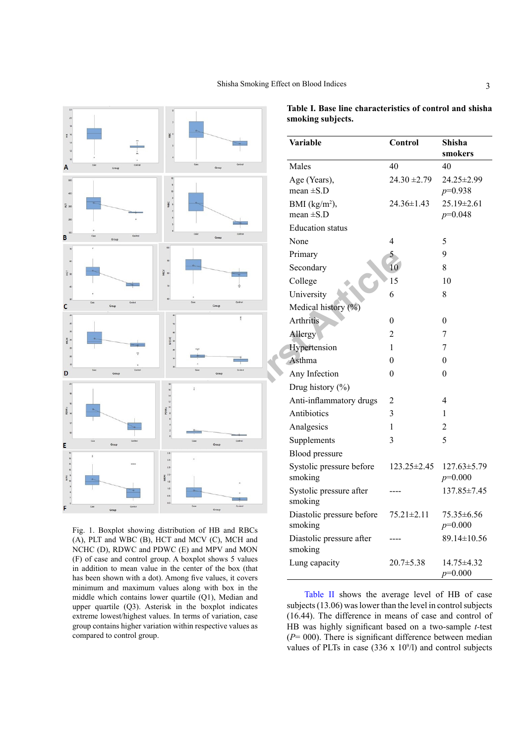

Fig. 1. Boxplot showing distribution of HB and RBCs (A), PLT and WBC (B), HCT and MCV (C), MCH and NCHC (D), RDWC and PDWC (E) and MPV and MON (F) of case and control group. A boxplot shows 5 values in addition to mean value in the center of the box (that has been shown with a dot). Among five values, it covers minimum and maximum values along with box in the middle which contains lower quartile (Q1), Median and upper quartile (Q3). Asterisk in the boxplot indicates extreme lowest/highest values. In terms of variation, case group contains higher variation within respective values as compared to control group.

| Variable                             | Control           | Shisha<br>smokers              |
|--------------------------------------|-------------------|--------------------------------|
| Males                                | 40                | 40                             |
| Age (Years),<br>mean $\pm$ S.D       | $24.30 \pm 2.79$  | 24.25±2.99<br>$p=0.938$        |
| BMI $(kg/m2)$ ,<br>mean $\pm$ S.D    | 24.36±1.43        | 25.19±2.61<br>$p=0.048$        |
| <b>Education</b> status              |                   |                                |
| None                                 | 4                 | 5                              |
| Primary                              | 5                 | 9                              |
| Secondary                            | 10                | 8                              |
| College                              | 15                | 10                             |
| University                           | 6                 | 8                              |
| Medical history (%)                  |                   |                                |
| <b>Arthritis</b>                     | $\theta$          | 0                              |
| Allergy                              | $\overline{2}$    | 7                              |
| Hypertension                         | 1                 | 7                              |
| Asthma                               | 0                 | $\theta$                       |
| Any Infection                        | 0                 | $\theta$                       |
| Drug history (%)                     |                   |                                |
| Anti-inflammatory drugs              | 2                 | 4                              |
| Antibiotics                          | 3                 | 1                              |
| Analgesics                           | 1                 | 2                              |
| Supplements                          | 3                 | 5                              |
| <b>Blood pressure</b>                |                   |                                |
| Systolic pressure before<br>smoking  | $123.25 \pm 2.45$ | $127.63 \pm 5.79$<br>$p=0.000$ |
| Systolic pressure after<br>smoking   |                   | 137.85±7.45                    |
| Diastolic pressure before<br>smoking | $75.21 \pm 2.11$  | 75.35±6.56<br>$p=0.000$        |
| Diastolic pressure after<br>smoking  |                   | 89.14±10.56                    |
| Lung capacity                        | $20.7 \pm 5.38$   | 14.75±4.32<br>$p=0.000$        |

<span id="page-2-0"></span>**Table I. Base line characteristics of control and shisha smoking subjects.**

[Table II](#page-3-0) shows the average level of HB of case subjects (13.06) was lower than the level in control subjects (16.44). The difference in means of case and control of HB was highly significant based on a two-sample *t-*test (*P*= 000). There is significant difference between median values of PLTs in case  $(336 \times 10^9)$  and control subjects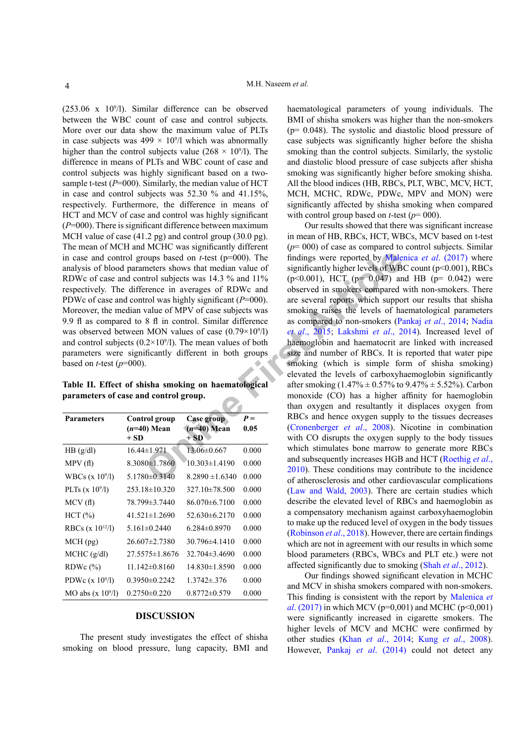$(253.06 \times 10^9)$ . Similar difference can be observed between the WBC count of case and control subjects. More over our data show the maximum value of PLTs in case subjects was  $499 \times 10^{9}$ /l which was abnormally higher than the control subjects value  $(268 \times 10^9)$ . The difference in means of PLTs and WBC count of case and control subjects was highly significant based on a twosample t-test (*P*=000). Similarly, the median value of HCT in case and control subjects was 52.30 % and 41.15%, respectively. Furthermore, the difference in means of HCT and MCV of case and control was highly significant (*P*=000). There is significant difference between maximum MCH value of case (41.2 pg) and control group (30.0 pg). The mean of MCH and MCHC was significantly different in case and control groups based on *t*-test (p=000). The analysis of blood parameters shows that median value of RDWc of case and control subjects was 14.3 % and 11% respectively. The difference in averages of RDWc and PDWc of case and control was highly significant (*P*=000). Moreover, the median value of MPV of case subjects was 9.9 fl as compared to 8 fl in control. Similar difference was observed between MON values of case  $(0.79 \times 10^9/1)$ and control subjects  $(0.2 \times 10^9)$ . The mean values of both parameters were significantly different in both groups based on *t*-test  $(p=000)$ .

<span id="page-3-0"></span>**Table II. Effect of shisha smoking on haematological parameters of case and control group.**

| <b>Parameters</b>     | Control group<br>$(n=40)$ Mean<br>+ SD | Case group<br>$(n=40)$ Mean<br>+ SD | $P =$<br>0.05 |
|-----------------------|----------------------------------------|-------------------------------------|---------------|
| HB(g/dl)              | 16.44±1.971                            | $13.06 \pm 0.667$                   | 0.000         |
| MPV(f)                | $8.3080 \pm 1.7860$                    | $10.303 \pm 1.4190$                 | 0.000         |
| WBCs (x $10^{9}/l$ )  | $5.1780 \pm 0.3140$                    | $8.2890 \pm 1.6340$                 | 0.000         |
| PLTs $(x 10^9/1)$     | $253.18 \pm 10.320$                    | $327.10\pm78.500$                   | 0.000         |
| MCV(f)                | 78.799±3.7440                          | $86.070\pm 6.7100$                  | 0.000         |
| HCT(%)                | $41.521 \pm 1.2690$                    | $52.630\pm 6.2170$                  | 0.000         |
| RBCs (x $10^{12}/1$ ) | $5.161 \pm 0.2440$                     | $6.284\pm0.8970$                    | 0.000         |
| $MCH$ (pg)            | $26.607 \pm 2.7380$                    | $30.796 \pm 4.1410$                 | 0.000         |
| MCHC (g/dl)           | $27.5575 \pm 1.8676$                   | $32.704\pm3.4690$                   | 0.000         |
| RDWc $(\%)$           | $11.142\pm0.8160$                      | 14.830±1.8590                       | 0.000         |
| PDWc $(x 109/1)$      | $0.3950 \pm 0.2242$                    | $1.3742 \pm 376$                    | 0.000         |
| MO abs $(x 109/l)$    | $0.2750 \pm 0.220$                     | $0.8772\pm0.579$                    | 0.000         |

## **DISCUSSION**

The present study investigates the effect of shisha smoking on blood pressure, lung capacity, BMI and haematological parameters of young individuals. The BMI of shisha smokers was higher than the non-smokers  $(p= 0.048)$ . The systolic and diastolic blood pressure of case subjects was significantly higher before the shisha smoking than the control subjects. Similarly, the systolic and diastolic blood pressure of case subjects after shisha smoking was significantly higher before smoking shisha. All the blood indices (HB, RBCs, PLT, WBC, MCV, HCT, MCH, MCHC, RDWc, PDWc, MPV and MON) were significantly affected by shisha smoking when compared with control group based on *t*-test ( $p=000$ ).

oups based on *[t](#page-5-9)*-test (p=000). The<br>
meters shows that median value of<br>
significantly higher levels of WB<br>
throl subjects was 14.3 % and 11% (p<0.001), HCT (p= 0.047) an<br>
rence in averages of RDV or dobserved in smokens c Our results showed that there was significant increase in mean of HB, RBCs, HCT, WBCs, MCV based on t-test (*p*= 000) of case as compared to control subjects. Similar findings were reported by [Malenica](#page-5-7) *et al*. (2017) where significantly higher levels of WBC count  $(p<0.001)$ , RBCs  $(p<0.001)$ , HCT ( $p= 0.047$ ) and HB ( $p= 0.042$ ) were observed in smokers compared with non-smokers. There are several reports which support our results that shisha smoking raises the levels of haematological parameters as compared to non-smokers ([Pankaj](#page-5-8) *et al*., 2014; [Nadia](#page-5-9)  *et al*., 2015; Lakshmi *et al*., 2014). Increased level of haemoglobin and haematocrit are linked with increased size and number of RBCs. It is reported that water pipe smoking (which is simple form of shisha smoking) elevated the levels of carboxyhaemoglobin significantly after smoking  $(1.47\% \pm 0.57\%$  to  $9.47\% \pm 5.52\%$ ). Carbon monoxide (CO) has a higher affinity for haemoglobin than oxygen and resultantly it displaces oxygen from RBCs and hence oxygen supply to the tissues decreases (Cronenberger *et al*., 2008). Nicotine in combination with CO disrupts the oxygen supply to the body tissues which stimulates bone marrow to generate more RBCs and subsequently increases HGB and HCT ([Roethig](#page-6-3) *et al*., 2010). These conditions may contribute to the incidence of atherosclerosis and other cardiovascular complications [\(Law and Wald, 2003](#page-5-11)). There are certain studies which describe the elevated level of RBCs and haemoglobin as a compensatory mechanism against carboxyhaemoglobin to make up the reduced level of oxygen in the body tissues [\(Robinson](#page-5-12) *et al*., 2018). However, there are certain findings which are not in agreement with our results in which some blood parameters (RBCs, WBCs and PLT etc.) were not affected significantly due to smoking (Shah *et al*[., 2012\)](#page-6-4).

> Our findings showed significant elevation in MCHC and MCV in shisha smokers compared with non-smokers. This finding is consistent with the report by [Malenica](#page-5-7) *et al*[. \(2017\)](#page-5-7) in which MCV ( $p=0.001$ ) and MCHC ( $p<0.001$ ) were significantly increased in cigarette smokers. The higher levels of MCV and MCHC were confirmed by other studies (Khan *et al*[., 2014](#page-5-13); Kung *et al*[., 2008](#page-5-14)). However, Pankaj *et al*[. \(2014\)](#page-5-8) could not detect any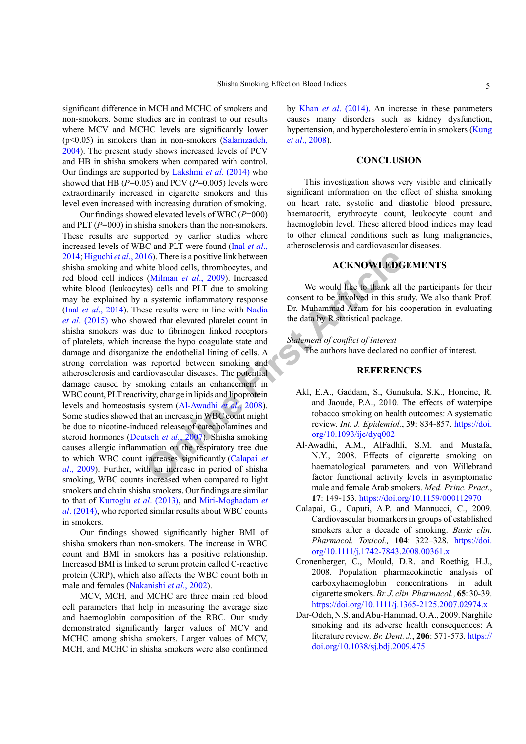significant difference in MCH and MCHC of smokers and non-smokers. Some studies are in contrast to our results where MCV and MCHC levels are significantly lower  $(p<0.05)$  in smokers than in non-smokers [\(Salamzadeh,](#page-6-5) [2004\)](#page-6-5). The present study shows increased levels of PCV and HB in shisha smokers when compared with control. Our findings are supported by [Lakshmi](#page-5-10) *et al*. (2014) who showed that HB ( $P=0.05$ ) and PCV ( $P=0.005$ ) levels were extraordinarily increased in cigarette smokers and this level even increased with increasing duration of smoking.

16). There is a positive link between<br>
(Milman *et al.*, 2009). Increased<br>
as yestemic inflammatory response<br>
as a systemic inflammatory response<br>
as a systemic inflammatory response<br>
as a systemic inflammatory response<br>
t Our findings showed elevated levels of WBC (*P*=000) and PLT (*P*=000) in shisha smokers than the non-smokers. These results are supported by earlier studies where increased levels of WBC and PLT were found [\(Inal](#page-5-15) *et al*., [2014;](#page-5-15) [Higuchi](#page-5-16) *et al*., 2016). There is a positive link between shisha smoking and white blood cells, thrombocytes, and red blood cell indices (Milman *et al*., 2009). Increased white blood (leukocytes) cells and PLT due to smoking may be explained by a systemic inflammatory response (Inal *et al*[., 2014\)](#page-5-15). These results were in line with Nadia *et al*[. \(2015\)](#page-5-9) who showed that elevated platelet count in shisha smokers was due to fibrinogen linked receptors of platelets, which increase the hypo coagulate state and damage and disorganize the endothelial lining of cells. A strong correlation was reported between smoking and atherosclerosis and cardiovascular diseases. The potential damage caused by smoking entails an enhancement in WBC count, PLT reactivity, change in lipids and lipoprotein levels and homeostasis system (Al-Awadhi *et al*., 2008). Some studies showed that an increase in WBC count might be due to nicotine-induced release of catecholamines and steroid hormones (Deutsch *et al*., 2007). Shisha smoking causes allergic inflammation on the respiratory tree due to which WBC count increases significantly (Calapai *et al*[., 2009](#page-4-4)). Further, with an increase in period of shisha smoking, WBC counts increased when compared to light smokers and chain shisha smokers. Our findings are similar to that of Kurtoglu *et al*. (2013), and [Miri-Moghadam](#page-5-6) *et al*[. \(2014\),](#page-5-6) who reported similar results about WBC counts in smokers.

Our findings showed significantly higher BMI of shisha smokers than non-smokers. The increase in WBC count and BMI in smokers has a positive relationship. Increased BMI is linked to serum protein called C-reactive protein (CRP), which also affects the WBC count both in male and females ([Nakanishi](#page-5-0) *et al*., 2002).

MCV, MCH, and MCHC are three main red blood cell parameters that help in measuring the average size and haemoglobin composition of the RBC. Our study demonstrated significantly larger values of MCV and MCHC among shisha smokers. Larger values of MCV, MCH, and MCHC in shisha smokers were also confirmed by Khan *et al*[. \(2014\)](#page-5-13). An increase in these parameters causes many disorders such as kidney dysfunction, hypertension, and hypercholesterolemia in smokers ([Kung](#page-5-14) *et al*[., 2008\)](#page-5-14).

## **CONCLUSION**

This investigation shows very visible and clinically significant information on the effect of shisha smoking on heart rate, systolic and diastolic blood pressure, haematocrit, erythrocyte count, leukocyte count and haemoglobin level. These altered blood indices may lead to other clinical conditions such as lung malignancies, atherosclerosis and cardiovascular diseases.

# **ACKNOWLEDGEMENTS**

We would like to thank all the participants for their consent to be involved in this study. We also thank Prof. Dr. Muhammad Azam for his cooperation in evaluating the data by R statistical package.

### *Statement of conflict of interest*

The authors have declared no conflict of interest.

#### **REFERENCES**

- <span id="page-4-1"></span>Akl, E.A., Gaddam, S., Gunukula, S.K., Honeine, R. and Jaoude, P.A., 2010. The effects of waterpipe tobacco smoking on health outcomes: A systematic review. *Int. J. Epidemiol.*, **39**: 834-857. [https://doi.](https://doi.org/10.1093/ije/dyq002) org/10.1093/ije/dyq002
- <span id="page-4-3"></span>Al-Awadhi, A.M., AlFadhli, S.M. and Mustafa, N.Y., 2008. Effects of cigarette smoking on haematological parameters and von Willebrand factor functional activity levels in asymptomatic male and female Arab smokers. *Med. Princ. Pract.*, **17**: 149-153. <https://doi.org/10.1159/000112970>
- <span id="page-4-4"></span>Calapai, G., Caputi, A.P. and Mannucci, C., 2009. Cardiovascular biomarkers in groups of established smokers after a decade of smoking. *Basic clin. Pharmacol. Toxicol.,* **104**: 322–328. [https://doi.](https://doi.org/10.1111/j.1742-7843.2008.00361.x) [org/10.1111/j.1742-7843.2008.00361.x](https://doi.org/10.1111/j.1742-7843.2008.00361.x)
- <span id="page-4-2"></span>Cronenberger, C., Mould, D.R. and Roethig, H.J., 2008. Population pharmacokinetic analysis of carboxyhaemoglobin concentrations in adult cigarette smokers. *Br. J. clin. Pharmacol.,* **65**: 30-39. <https://doi.org/10.1111/j.1365-2125.2007.02974.x>
- <span id="page-4-0"></span>Dar-Odeh, N.S. and Abu-Hammad, O.A., 2009. Narghile smoking and its adverse health consequences: A literature review. *Br. Dent. J.*, **206**: 571-573. [https://](https://doi.org/10.1038/sj.bdj.2009.475) [doi.org/10.1038/sj.bdj.2009.475](https://doi.org/10.1038/sj.bdj.2009.475)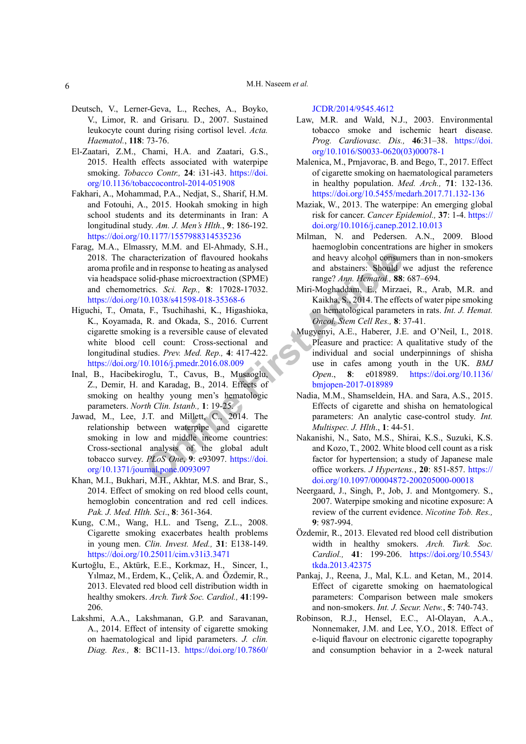## M.H. Naseem *et al.*

- <span id="page-5-18"></span>Deutsch, V., Lerner-Geva, L., Reches, A., Boyko, V., Limor, R. and Grisaru. D., 2007. Sustained leukocyte count during rising cortisol level. *Acta. Haematol.*, **118**: 73-76.
- <span id="page-5-3"></span>El-Zaatari, Z.M., Chami, H.A. and Zaatari, G.S., 2015. Health effects associated with waterpipe smoking. *Tobacco Contr.,* **24**: i31-i43. [https://doi.](https://doi.org/10.1136/tobaccocontrol-2014-051908) [org/10.1136/tobaccocontrol-2014-051908](https://doi.org/10.1136/tobaccocontrol-2014-051908)
- <span id="page-5-2"></span>Fakhari, A., Mohammad, P.A., Nedjat, S., Sharif, H.M. and Fotouhi, A., 2015. Hookah smoking in high school students and its determinants in Iran: A longitudinal study. *Am. J. Men's Hlth.*, **9**: 186-192. <https://doi.org/10.1177/1557988314535236>
- <span id="page-5-1"></span>Farag, M.A., Elmassry, M.M. and El-Ahmady, S.H., 2018. The characterization of flavoured hookahs aroma profile and in response to heating as analysed via headspace solid-phase microextraction (SPME) and chemometrics. *Sci. Rep.,* **8**: 17028-17032. <https://doi.org/10.1038/s41598-018-35368-6>
- <span id="page-5-16"></span>**CONFIGURE ARTIFY** and heavy alcohol consumption of flavoured hookahs and heavy alcohol consumption (SPME) and abstainers: Should video that the materix are consumption (SPME) and abstainers: Should video the effects. Sect Higuchi, T., Omata, F., Tsuchihashi, K., Higashioka, K., Koyamada, R. and Okada, S., 2016. Current cigarette smoking is a reversible cause of elevated white blood cell count: Cross-sectional and longitudinal studies. *Prev. Med. Rep.,* **4**: 417-422. <https://doi.org/10.1016/j.pmedr.2016.08.009>
- <span id="page-5-15"></span>Inal, B., Hacibekiroglu, T., Cavus, B., Musaoglu, Z., Demir, H. and Karadag, B., 2014. Effects of smoking on healthy young men's hematologic parameters. *North Clin. Istanb.,* **1**: 19-25.
- <span id="page-5-5"></span>Jawad, M., Lee, J.T. and Millett, C., 2014. The relationship between waterpipe and cigarette smoking in low and middle income countries: Cross-sectional analysis of the global adult tobacco survey. *PLoS One*, **9**: e93097. https://doi. [org/10.1371/journal.pone.0093097](https://doi.org/10.1371/journal.pone.0093097)
- <span id="page-5-13"></span>Khan, M.I., Bukhari, M.H., Akhtar, M.S. and Brar, S., 2014. Effect of smoking on red blood cells count, hemoglobin concentration and red cell indices. *Pak. J. Med. Hlth. Sci*., **8**: 361-364.
- <span id="page-5-14"></span>Kung, C.M., Wang, H.L. and Tseng, Z.L., 2008. Cigarette smoking exacerbates health problems in young men. *Clin. Invest. Med.,* **31**: E138-149. <https://doi.org/10.25011/cim.v31i3.3471>
- Kurtoğlu, E., Aktürk, E.E., Korkmaz, H., Sincer, I., Yılmaz, M., Erdem, K., Çelik, A. and Özdemir, R., 2013. Elevated red blood cell distribution width in healthy smokers. *Arch. Turk Soc. Cardiol.,* **41**:199- 206.
- <span id="page-5-10"></span>Lakshmi, A.A., Lakshmanan, G.P. and Saravanan, A., 2014. Effect of intensity of cigarette smoking on haematological and lipid parameters. *J. clin. Diag. Res.,* **8**: BC11-13. [https://doi.org/10.7860/](https://doi.org/10.7860/JCDR/2014/9545.4612)

[JCDR/2014/9545.4612](https://doi.org/10.7860/JCDR/2014/9545.4612)

- <span id="page-5-11"></span>Law, M.R. and Wald, N.J., 2003. Environmental tobacco smoke and ischemic heart disease. *Prog. Cardiovasc. Dis.,* **46**:31–38. [https://doi.](https://doi.org/10.1016/S0033-0620(03)00078-1) [org/10.1016/S0033-0620\(03\)00078-1](https://doi.org/10.1016/S0033-0620(03)00078-1)
- <span id="page-5-7"></span>Malenica, M., Prnjavorac, B. and Bego, T., 2017. Effect of cigarette smoking on haematological parameters in healthy population. *Med. Arch.,* **71**: 132-136. <https://doi.org/10.5455/medarh.2017.71.132-136>
- <span id="page-5-4"></span>Maziak, W., 2013. The waterpipe: An emerging global risk for cancer. *Cancer Epidemiol.,* **37**: 1-4. [https://](https://doi.org/10.1016/j.canep.2012.10.013) [doi.org/10.1016/j.canep.2012.10.013](https://doi.org/10.1016/j.canep.2012.10.013)
- <span id="page-5-17"></span>Milman, N. and Pedersen. A.N., 2009. Blood haemoglobin concentrations are higher in smokers and heavy alcohol consumers than in non-smokers and abstainers: Should we adjust the reference range? *Ann. Hematol.,* **88**: 687–694.
- <span id="page-5-6"></span>Miri-Moghaddam, E., Mirzaei, R., Arab, M.R. and Kaikha, S., 2014. The effects of water pipe smoking on hematological parameters in rats. *Int. J. Hemat. Oncol. Stem Cell Res.,* **8**: 37-41.
- Mugyenyi, A.E., Haberer, J.E. and O'Neil, I., 2018. Pleasure and practice: A qualitative study of the individual and social underpinnings of shisha use in cafes among youth in the UK. *BMJ Open*., **8**: e018989. [https://doi.org/10.1136/](https://doi.org/10.1136/bmjopen-2017-018989) bmjopen-2017-018989
- <span id="page-5-9"></span>Nadia, M.M., Shamseldein, HA. and Sara, A.S., 2015. Effects of cigarette and shisha on hematological parameters: An analytic case-control study. *Int. Multispec. J. Hlth*., **1**: 44-51.
- <span id="page-5-0"></span>Nakanishi, N., Sato, M.S., Shirai, K.S., Suzuki, K.S. and Kozo, T., 2002. White blood cell count as a risk factor for hypertension; a study of Japanese male office workers. *J Hypertens.*, **20**: 851-857. [https://](https://doi.org/10.1097/00004872-200205000-00018) [doi.org/10.1097/00004872-200205000-00018](https://doi.org/10.1097/00004872-200205000-00018)
- Neergaard, J., Singh, P., Job, J. and Montgomery. S., 2007. Waterpipe smoking and nicotine exposure: A review of the current evidence. *Nicotine Tob. Res.,*  **9**: 987-994.
- Özdemir, R., 2013. Elevated red blood cell distribution width in healthy smokers. *Arch. Turk. Soc. Cardiol.,* **41**: 199-206. [https://doi.org/10.5543/](https://doi.org/10.5543/tkda.2013.42375) [tkda.2013.42375](https://doi.org/10.5543/tkda.2013.42375)
- <span id="page-5-8"></span>Pankaj, J., Reena, J., Mal, K.L. and Ketan, M., 2014. Effect of cigarette smoking on haematological parameters: Comparison between male smokers and non-smokers. *Int. J. Secur. Netw.*, **5**: 740-743.
- <span id="page-5-12"></span>Robinson, R.J., Hensel, E.C., Al-Olayan, A.A., Nonnemaker, J.M. and Lee, Y.O., 2018. Effect of e-liquid flavour on electronic cigarette topography and consumption behavior in a 2-week natural

6